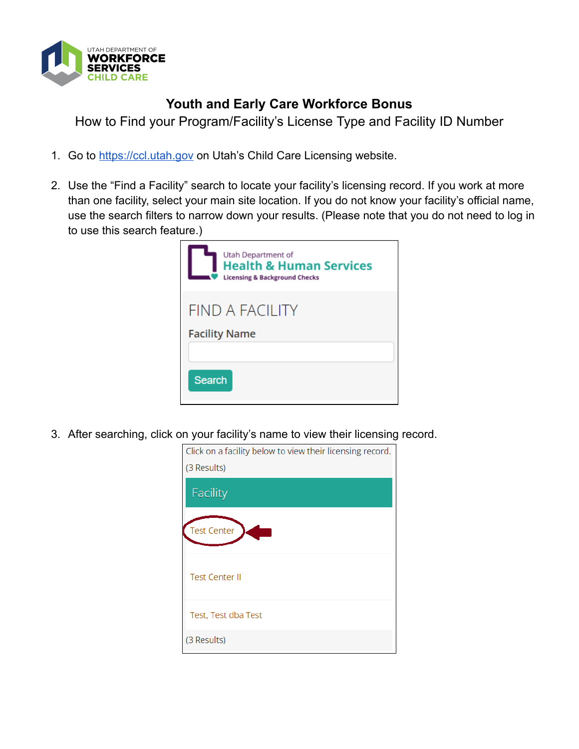

## **Youth and Early Care Workforce Bonus**

How to Find your Program/Facility's License Type and Facility ID Number

- 1. Go to [https://ccl.utah.gov](https://ccl.utah.gov/) on Utah's Child Care Licensing website.
- 2. Use the "Find a Facility" search to locate your facility's licensing record. If you work at more than one facility, select your main site location. If you do not know your facility's official name, use the search filters to narrow down your results. (Please note that you do not need to log in to use this search feature.)

| Utah Department of<br><b>Health &amp; Human Services</b><br><b>Licensing &amp; Background Checks</b> |
|------------------------------------------------------------------------------------------------------|
| FIND A FACILITY<br><b>Facility Name</b>                                                              |
|                                                                                                      |
| <b>Search</b>                                                                                        |

3. After searching, click on your facility's name to view their licensing record.

| Click on a facility below to view their licensing record. |  |  |
|-----------------------------------------------------------|--|--|
| (3 Results)                                               |  |  |
| <b>Facility</b>                                           |  |  |
| <b>Test Center</b>                                        |  |  |
| <b>Test Center II</b>                                     |  |  |
| Test, Test dba Test                                       |  |  |
| (3 Results)                                               |  |  |